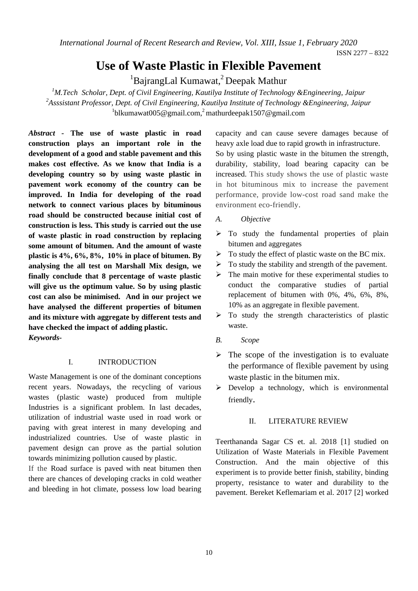*International Journal of Recent Research and Review, Vol. XIII, Issue 1, February 2020* 

ISSN 2277 – 8322

# **Use of Waste Plastic in Flexible Pavement**

<sup>1</sup>BajrangLal Kumawat,<sup>2</sup> Deepak Mathur

*1 M.Tech Scholar, Dept. of Civil Engineering, Kautilya Institute of Technology &Engineering, Jaipur 2 Asssistant Professor, Dept. of Civil Engineering, Kautilya Institute of Technology &Engineering, Jaipur*   $1$ blkumawat005@gmail.com,<sup>2</sup> mathurdeepak1507@gmail.com

*Abstract -* **The use of waste plastic in road construction plays an important role in the development of a good and stable pavement and this makes cost effective. As we know that India is a developing country so by using waste plastic in pavement work economy of the country can be improved. In India for developing of the road network to connect various places by bituminous road should be constructed because initial cost of construction is less. This study is carried out the use of waste plastic in road construction by replacing some amount of bitumen. And the amount of waste plastic is 4%, 6%, 8%, 10% in place of bitumen. By analysing the all test on Marshall Mix design, we finally conclude that 8 percentage of waste plastic will give us the optimum value. So by using plastic cost can also be minimised. And in our project we have analysed the different properties of bitumen and its mixture with aggregate by different tests and have checked the impact of adding plastic.**  *Keywords-*

## I. INTRODUCTION

Waste Management is one of the dominant conceptions recent years. Nowadays, the recycling of various wastes (plastic waste) produced from multiple Industries is a significant problem. In last decades, utilization of industrial waste used in road work or paving with great interest in many developing and industrialized countries. Use of waste plastic in pavement design can prove as the partial solution towards minimizing pollution caused by plastic.

If the Road surface is paved with neat bitumen then there are chances of developing cracks in cold weather and bleeding in hot climate, possess low load bearing

capacity and can cause severe damages because of heavy axle load due to rapid growth in infrastructure. So by using plastic waste in the bitumen the strength, durability, stability, load bearing capacity can be increased. This study shows the use of plastic waste in hot bituminous mix to increase the pavement performance, provide low-cost road sand make the environment eco-friendly.

- *A. Objective*
- $\triangleright$  To study the fundamental properties of plain bitumen and aggregates
- $\triangleright$  To study the effect of plastic waste on the BC mix.
- $\triangleright$  To study the stability and strength of the pavement.
- $\triangleright$  The main motive for these experimental studies to conduct the comparative studies of partial replacement of bitumen with 0%, 4%, 6%, 8%, 10% as an aggregate in flexible pavement.
- $\triangleright$  To study the strength characteristics of plastic waste.
- *B. Scope*
- $\triangleright$  The scope of the investigation is to evaluate the performance of flexible pavement by using waste plastic in the bitumen mix.
- $\triangleright$  Develop a technology, which is environmental friendly.

# II. LITERATURE REVIEW

Teerthananda Sagar CS et. al. 2018 [1] studied on Utilization of Waste Materials in Flexible Pavement Construction. And the main objective of this experiment is to provide better finish, stability, binding property, resistance to water and durability to the pavement. Bereket Keflemariam et al. 2017 [2] worked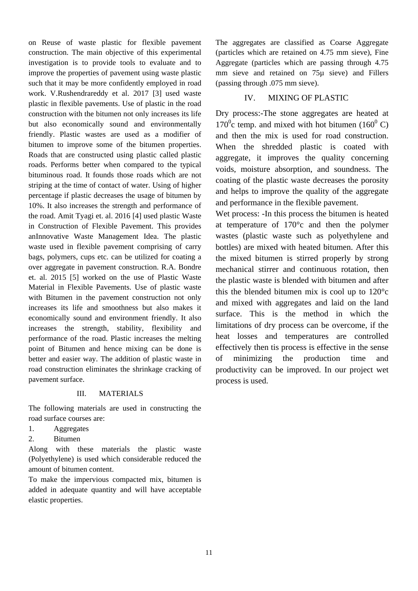on Reuse of waste plastic for flexible pavement construction. The main objective of this experimental investigation is to provide tools to evaluate and to improve the properties of pavement using waste plastic such that it may be more confidently employed in road work. V.Rushendrareddy et al. 2017 [3] used waste plastic in flexible pavements. Use of plastic in the road construction with the bitumen not only increases its life but also economically sound and environmentally friendly. Plastic wastes are used as a modifier of bitumen to improve some of the bitumen properties. Roads that are constructed using plastic called plastic roads. Performs better when compared to the typical bituminous road. It founds those roads which are not striping at the time of contact of water. Using of higher percentage if plastic decreases the usage of bitumen by 10%. It also increases the strength and performance of the road. Amit Tyagi et. al. 2016 [4] used plastic Waste in Construction of Flexible Pavement. This provides anInnovative Waste Management Idea. The plastic waste used in flexible pavement comprising of carry bags, polymers, cups etc. can be utilized for coating a over aggregate in pavement construction. R.A. Bondre et. al. 2015 [5] worked on the use of Plastic Waste Material in Flexible Pavements. Use of plastic waste with Bitumen in the pavement construction not only increases its life and smoothness but also makes it economically sound and environment friendly. It also increases the strength, stability, flexibility and performance of the road. Plastic increases the melting point of Bitumen and hence mixing can be done is better and easier way. The addition of plastic waste in road construction eliminates the shrinkage cracking of pavement surface.

## III. MATERIALS

The following materials are used in constructing the road surface courses are:

- 1. Aggregates
- 2. Bitumen

Along with these materials the plastic waste (Polyethylene) is used which considerable reduced the amount of bitumen content.

To make the impervious compacted mix, bitumen is added in adequate quantity and will have acceptable elastic properties.

The aggregates are classified as Coarse Aggregate (particles which are retained on 4.75 mm sieve), Fine Aggregate (particles which are passing through 4.75 mm sieve and retained on 75µ sieve) and Fillers (passing through .075 mm sieve).

# IV. MIXING OF PLASTIC

Dry process:-The stone aggregates are heated at  $170^{\circ}$ c temp. and mixed with hot bitumen (160 $^{\circ}$ C) and then the mix is used for road construction. When the shredded plastic is coated with aggregate, it improves the quality concerning voids, moisture absorption, and soundness. The coating of the plastic waste decreases the porosity and helps to improve the quality of the aggregate and performance in the flexible pavement.

Wet process: -In this process the bitumen is heated at temperature of 170°c and then the polymer wastes (plastic waste such as polyethylene and bottles) are mixed with heated bitumen. After this the mixed bitumen is stirred properly by strong mechanical stirrer and continuous rotation, then the plastic waste is blended with bitumen and after this the blended bitumen mix is cool up to 120°c and mixed with aggregates and laid on the land surface. This is the method in which the limitations of dry process can be overcome, if the heat losses and temperatures are controlled effectively then tis process is effective in the sense of minimizing the production time and productivity can be improved. In our project wet process is used.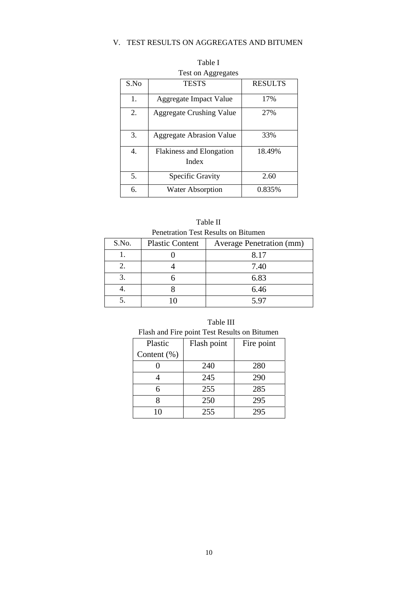## V. TEST RESULTS ON AGGREGATES AND BITUMEN

| rest on Aggregates |                                          |                |  |
|--------------------|------------------------------------------|----------------|--|
| S.No               | <b>TESTS</b>                             | <b>RESULTS</b> |  |
| 1.                 | Aggregate Impact Value                   | 17%            |  |
| 2.                 | <b>Aggregate Crushing Value</b>          | 27%            |  |
| 3.                 | <b>Aggregate Abrasion Value</b>          | 33%            |  |
| 4.                 | <b>Flakiness and Elongation</b><br>Index | 18.49%         |  |
| 5.                 | Specific Gravity                         | 2.60           |  |
| 6.                 | <b>Water Absorption</b>                  | 0.835%         |  |

Table I Test on Aggregates

| Table II                            |
|-------------------------------------|
| Penetration Test Results on Bitumen |

| S.No. | <b>Plastic Content</b> | <b>Average Penetration (mm)</b> |
|-------|------------------------|---------------------------------|
|       |                        | 8.17                            |
|       |                        | 7.40                            |
|       |                        | 6.83                            |
|       |                        | 6.46                            |
|       |                        | 5.97                            |

| Table III |  |
|-----------|--|
|           |  |

| Plastic        | Flash point | Fire point |
|----------------|-------------|------------|
| Content $(\%)$ |             |            |
|                | 240         | 280        |
|                | 245         | 290        |
|                | 255         | 285        |
|                | 250         | 295        |
|                | 255         | 295        |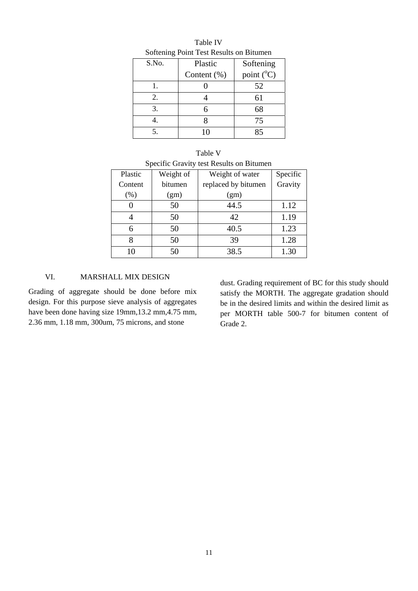| $\frac{1}{2}$ |                |            |  |
|---------------|----------------|------------|--|
| S.No.         | Plastic        | Softening  |  |
|               | Content $(\%)$ | point (°C) |  |
|               |                | 52         |  |
| 2.            |                | 61         |  |
| 3.            | 6              | 68         |  |
|               |                | 75         |  |
|               | 10             | 85         |  |

Table IV Softening Point Test Results on Bitumen

| Table V                                  |  |  |
|------------------------------------------|--|--|
| Specific Gravity test Results on Bitumen |  |  |

| Plastic | Weight of | Weight of water     | Specific |
|---------|-----------|---------------------|----------|
| Content | bitumen   | replaced by bitumen | Gravity  |
| (% )    | (gm)      | (gm)                |          |
|         | 50        | 44.5                | 1.12     |
|         | 50        | 42                  | 1.19     |
| 6       | 50        | 40.5                | 1.23     |
| 8       | 50        | 39                  | 1.28     |
| 10      | 50        | 38.5                | 1.30     |

## VI. MARSHALL MIX DESIGN

Grading of aggregate should be done before mix design. For this purpose sieve analysis of aggregates have been done having size 19mm,13.2 mm,4.75 mm, 2.36 mm, 1.18 mm, 300um, 75 microns, and stone

dust. Grading requirement of BC for this study should satisfy the MORTH. The aggregate gradation should be in the desired limits and within the desired limit as per MORTH table 500-7 for bitumen content of Grade 2.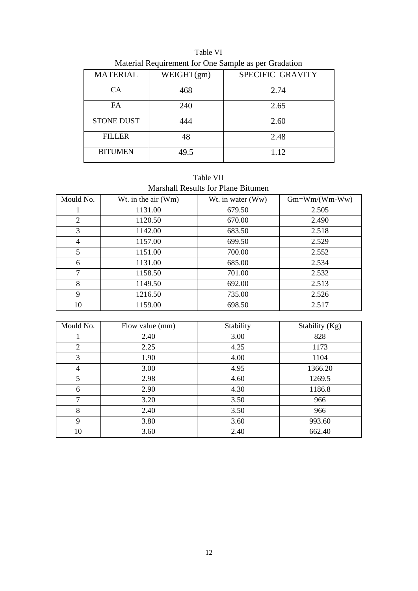| Material Requirement for One Sample as per Gradation |            |                  |  |  |
|------------------------------------------------------|------------|------------------|--|--|
| <b>MATERIAL</b>                                      | WEIGHT(gm) | SPECIFIC GRAVITY |  |  |
| <b>CA</b>                                            | 468        | 2.74             |  |  |
| FA.                                                  | 240        | 2.65             |  |  |
| <b>STONE DUST</b>                                    | 444        | 2.60             |  |  |
| <b>FILLER</b>                                        | 48         | 2.48             |  |  |
| <b>BITUMEN</b>                                       | 49.5       | 1.12             |  |  |

Table VI Material Requirement for One Sample as per Gradation

Table VII Marshall Results for Plane Bitumen

| Mould No.      | Wt. in the air $(Wm)$ | Wt. in water (Ww) | $Gm=Wm/(Wm-Ww)$ |
|----------------|-----------------------|-------------------|-----------------|
|                | 1131.00               | 679.50            | 2.505           |
| 2              | 1120.50               | 670.00            | 2.490           |
| 3              | 1142.00               | 683.50            | 2.518           |
| $\overline{4}$ | 1157.00               | 699.50            | 2.529           |
| 5              | 1151.00               | 700.00            | 2.552           |
| 6              | 1131.00               | 685.00            | 2.534           |
| $\tau$         | 1158.50               | 701.00            | 2.532           |
| 8              | 1149.50               | 692.00            | 2.513           |
| 9              | 1216.50               | 735.00            | 2.526           |
| 10             | 1159.00               | 698.50            | 2.517           |

| Mould No.      | Flow value (mm) | Stability | Stability (Kg) |
|----------------|-----------------|-----------|----------------|
|                | 2.40            | 3.00      | 828            |
| $\overline{2}$ | 2.25            | 4.25      | 1173           |
| 3              | 1.90            | 4.00      | 1104           |
| $\overline{4}$ | 3.00            | 4.95      | 1366.20        |
| 5              | 2.98            | 4.60      | 1269.5         |
| 6              | 2.90            | 4.30      | 1186.8         |
| $\overline{7}$ | 3.20            | 3.50      | 966            |
| 8              | 2.40            | 3.50      | 966            |
| 9              | 3.80            | 3.60      | 993.60         |
| 10             | 3.60            | 2.40      | 662.40         |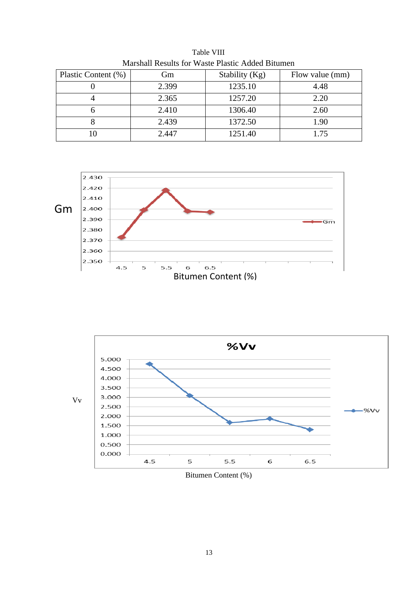| Gm    | Stability (Kg) | Flow value (mm) |
|-------|----------------|-----------------|
| 2.399 | 1235.10        | 4.48            |
| 2.365 | 1257.20        | 2.20            |
| 2.410 | 1306.40        | 2.60            |
| 2.439 | 1372.50        | 1.90            |
| 2.447 | 1251.40        | l 75            |
|       |                |                 |

Table VIII Marshall Results for Waste Plastic Added Bitumen





Bitumen Content (%)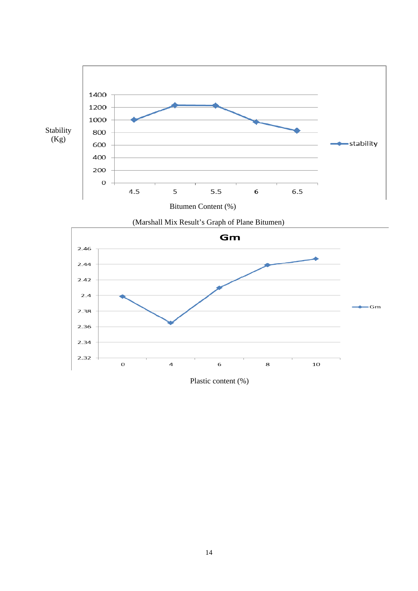

Bitumen Content (%)



Plastic content (%)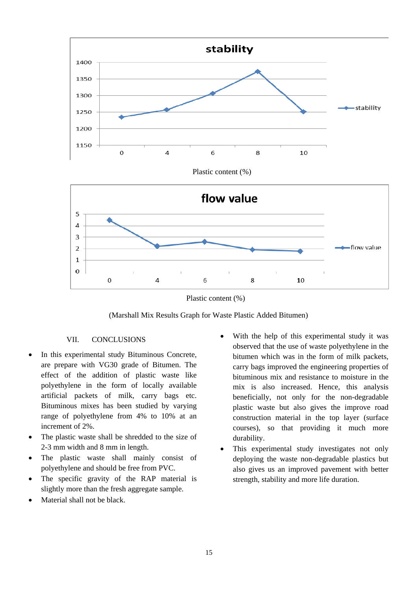

Plastic content (%)



Plastic content (%)

(Marshall Mix Results Graph for Waste Plastic Added Bitumen)

### VII. CONCLUSIONS

- In this experimental study Bituminous Concrete, are prepare with VG30 grade of Bitumen. The effect of the addition of plastic waste like polyethylene in the form of locally available artificial packets of milk, carry bags etc. Bituminous mixes has been studied by varying range of polyethylene from 4% to 10% at an increment of 2%.
- The plastic waste shall be shredded to the size of 2-3 mm width and 8 mm in length.
- The plastic waste shall mainly consist of polyethylene and should be free from PVC.
- The specific gravity of the RAP material is slightly more than the fresh aggregate sample.
- Material shall not be black.
- With the help of this experimental study it was observed that the use of waste polyethylene in the bitumen which was in the form of milk packets, carry bags improved the engineering properties of bituminous mix and resistance to moisture in the mix is also increased. Hence, this analysis beneficially, not only for the non-degradable plastic waste but also gives the improve road construction material in the top layer (surface courses), so that providing it much more durability.
- This experimental study investigates not only deploying the waste non-degradable plastics but also gives us an improved pavement with better strength, stability and more life duration.